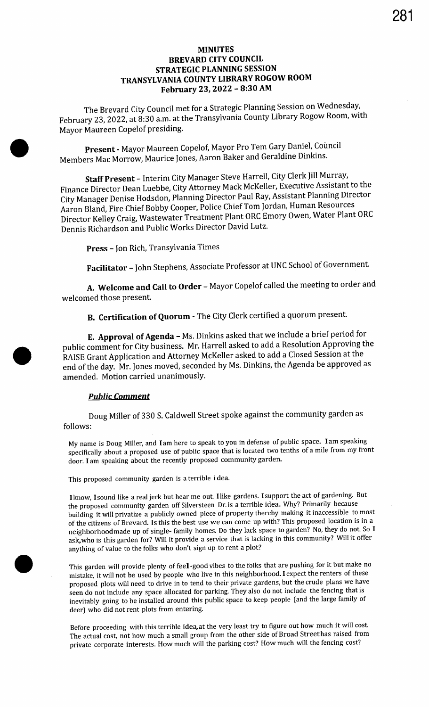#### MINUTES BREVARD CITY COUNCIL STRATEGIC PLANNING SESSION TRANSYLVANIA COUNTY LIBRARY ROGOW ROOM February 23, 2022 - 8:30 AM

The Brevard City Council met for a Strategic Planning Session on Wednesday, February 23, 2022, at 8:30 a.m. at the Transylvania County Library Rogow Room, with Mayor Maureen Copelof presiding.

Present - Mayor Maureen Copelof, Mayor Pro Tem Gary Daniel, Council Members Mac Morrow, Maurice Jones, Aaron Baker and Geraldine Dinkins.

Staff Present - Interim City Manager Steve Harrell, City Clerk Jill Murray, Finance Director Dean Luebbe, City Attorney Mack McKeller, Executive Assistant to the City Manager Denise Hodsdon, Planning Director Paul Ray, Assistant Planning Director Aaron Bland, Fire Chief Bobby Cooper, Police Chief Tom Jordan, Human Resources Director Kelley Craig, Wastewater Treatment Plant ORC Emory Owen, Water Plant ORC Dennis Richardson and Public Works Director David Lutz.

Press - Jon Rich, Transylvania Times

Facilitator - John Stephens, Associate Professor at UNC School of Government.

A. Welcome and Call to Order - Mayor Copelof called the meeting to order and welcomed those present.

B. Certification of Quorum - The City Clerk certified a quorum present.

E. Approval of Agenda - Ms. Dinkins asked that we include a brief period for public comment for City business. Mr. Harrell asked to add a Resolution Approving the RAISE Grant Application and Attorney McKeller asked to add a Closed Session at the end of the day. Mr. Jones moved, seconded by Ms. Dinkins, the Agenda be approved as amended. Motion carried unanimously.

#### Public Comment

Doug Miller of 330 S. Caldwell Street spoke against the community garden as follows:

My name is Doug Miller, and Iam here to speak to you in defense of public space. Iam speaking specifically about a proposed use of public space that is located two tenths of <sup>a</sup> mile from my front door. I am speaking about the recently proposed community garden.

This proposed community garden is <sup>a</sup> terrible i dea.

Iknow, Isound like <sup>a</sup> real jerk but hear me out. I like gardens. Isupport the act of gardening. But the proposed community garden off Silversteen Dr. is a terrible idea. Why? Primarily because building it will privatize <sup>a</sup> publicly owned piece of property thereby making it inaccessible to most of the citizens of Brevard. Is this the best use we can come up with? This proposed location is in a neighborhood made up of single- family homes. Do they lack space to garden? No, they do not. So I ask,who is this garden for? Will it provide <sup>a</sup> service that is lacking in this community? Will it offer anything of value to the folks who don't sign up to rent a plot?

This garden will provide plenty of feel -good vibes to the folks that are pushing for it but make no mistake, it will not be used by people who live in this neighborhood. I expect the renters of these proposed plots will need to drive in to tend to their private gardens, but the crude plans we have seen do not include any space allocated for parking. They also do not include the fencing that is inevitably going to be installed around this public space to keep people ( and the large family of deer) who did not rent plots from entering.

Before proceeding with this terrible idea,at the very least try to figure out how much it will cost. The actual cost, not how much a small group from the other side of Broad Streethas raised from private corporate interests. How much will the parking cost? How much will the fencing cost?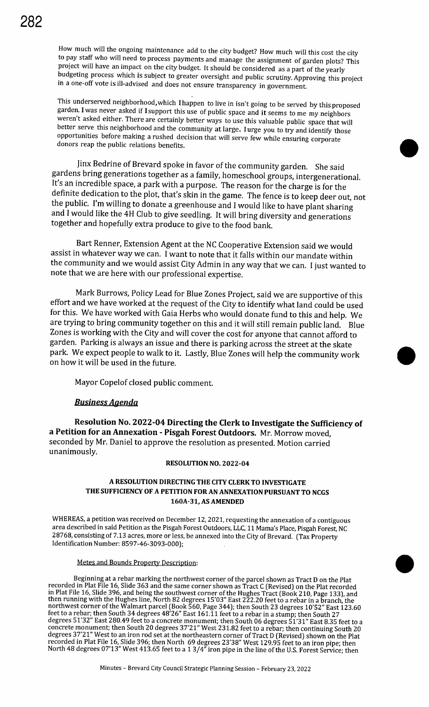How much will the ongoing maintenance add to the city budget? How much will this cost the city to pay staff who will need to process payments and manage the assignment of garden plots? This project will have an impact on the city budget. It should be considered as a part of the yearly budgeting process which is subject to greater oversight and public scrutiny. Approving this project in <sup>a</sup> one-off vote is ill-advised and does not ensure transparency in government.

This underserved neighborhood, which I happen to live in isn't going to be served by this proposed garden. I was never asked if Isupport this use of public space and it seems to me my neighbors weren't asked either. There are certainly better ways to use this valuable public space that will better serve this neighborhood and the community at large. I urge you to try and identify those opportunities before making <sup>a</sup> rushed decision that will serve few while ensuring corporate donors reap the public relations benefits.

jinx Bedrine of Brevard spoke in favor of the community garden. She said gardens bring generations together as a family, homeschool groups, intergenerational. It's an incredible space, a park with a purpose. The reason for the charge is for the definite dedication to the plot, that's skin in the game. The fence is to keep deer out, not the public. I'm willing to donate a greenhouse and I would like to have plant sharing and I would like the 4H Club to give seedling. It will bring diversity and generations together and hopefully extra produce to give to the food bank.

Bart Renner, Extension Agent at the NC Cooperative Extension said we would assist in whatever way we can. I want to note that it falls within our mandate within the community and we would assist City Admin in any way that we can. I just wanted to note that we are here with our professional expertise.

Mark Burrows, Policy Lead for Blue Zones Project, said we are supportive of this effort and we have worked at the request of the City to identify what land could be used for this. We have worked with Gaia Herbs who would donate fund to this and help. We are trying to bring community together on this and it will still remain public land. Blue Zones is working with the City and will cover the cost for anyone that cannot afford to garden. Parking is always an issue and there is parking across the street at the skate park. We expect people to walk to it. Lastly, Blue Zones will help the community work on how it will be used in the future.

Mayor Copelof closed public comment.

# Business Agenda

Resolution No. 2022- 04 Directing the Clerk to Investigate the Sufficiency of a Petition for an Annexation - Pisgah Forest Outdoors. Mr. Morrow moved, seconded by Mr. Daniel to approve the resolution as presented. Motion carried unanimously.

#### RESOLUTION NO. 2022-04

#### A RESOLUTION DIRECTING THE CITY CLERK TO INVESTIGATE THE SUFFICIENCY OF A PETITION FOR AN ANNEXATION PURSUANT TO NCGS 160A-31, AS AMENDED

WHEREAS, a petition was received on December 12, 2021, requesting the annexation of a contiguous area described in said Petition as the Pisgah Forest Outdoors, LLC, 11 Mama's Place, Pisgah Forest, NC 28768, consisting of 7. 13 acres, more or less, be annexed into the City of Brevard. ( Tax Property Identification Number: 8597-46-3093-000);

Metes and Bounds Property Description:<br>Beginning at a rebar marking the northwest corner of the parcel shown as Tract D on the Plat Beginning at a rebar marking the northwest corner of the parcel shown as Tract D on the Plat recorded in Plat File 16, Slide 363 and the same corner shown as Tract C ( Revised) on the Plat recorded in Plat File 16, Slide 396, and being the southwest corner of the Hughes Tract (Book 210, Page 133), and then running with the Hughes line, North 82 degrees 15' 03" East 222.20 feet to <sup>a</sup> rebar in <sup>a</sup> branch, the northwest corner of the Walmart parcel (Book 560, Page 344); then South 23 degrees 10'52" East 123.60 feet to a rebar; then South 34 degrees 48' 26" East 161. 11 feet to a rebar in a stump; then South 27 degrees 51' 32" East 280.49 feet to a concrete monument; then South 06 degrees 51' 31" East 8.35 feet to <sup>a</sup> concrete monument; then South 20 degrees 37' 21" West 231.82 feet to a rebar; then continuing South 20 degrees 37' 21" West to an iron rod set at the northeastern corner of Tract D ( Revised) shown on the Plat recorded in Plat File 16, Slide 396; then North 69 degrees 23' 38" West 129.95 feet to an iron pipe; then North 48 degrees 07'13" West 413.65 feet to a 1 3/4" iron pipe in the line of the U.S. Forest Service; then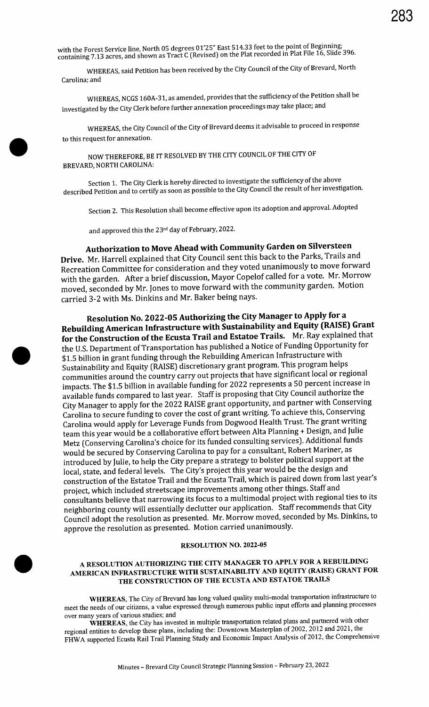with the Forest Service line, North 05 degrees 01'25" East 514.33 feet to the point of Beginning; containing 7. 13 acres, and shown as Tract C ( Revised) on the Plat recorded in Plat File 16, Slide 396.

WHEREAS, said Petition has been received by the City Council of the City of Brevard, North Carolina; and

WHEREAS, NCGS 160A-31, as amended, provides that the sufficiency of the Petition shall be investigated by the City Clerk before further annexation proceedings may take place; and

WHEREAS, the City Council of the City of Brevard deems it advisable to proceed in response to this request for annexation.

NOW THEREFORE, BE IT RESOLVED BY THE CITY COUNCIL OF THE CITY OF BREVARD, NORTH CAROLINA:

Section 1. The City Clerk is hereby directed to investigate the sufficiency of the above described Petition and to certify as soon as possible to the City Council the result of her investigation.

Section 2. This Resolution shall become effective upon its adoption and approval. Adopted

and approved this the 23rd day of February, 2022.

# Authorization to Move Ahead with Community Garden on Silversteen

Drive. Mr. Harrell explained that City Council sent this back to the Parks, Trails and Recreation Committee for consideration and they voted unanimously to move forward with the garden. After <sup>a</sup> brief discussion, Mayor Copelof called for <sup>a</sup> vote. Mr. Morrow moved, seconded by Mr. Jones to move forward with the community garden. Motion carried 3-2 with Ms. Dinkins and Mr. Baker being nays.

Resolution No. 2022- 05 Authorizing the City Manager to Apply for a Rebuilding American Infrastructure with Sustainability and Equity (RAISE) Grant for the Construction of the Ecusta Trail and Estatoe Trails. Mr. Ray explained that the U.S. Department of Transportation has published <sup>a</sup> Notice of Funding Opportunity for \$1.5 billion in grant funding through the Rebuilding American Infrastructure with Sustainability and Equity ( RAISE) discretionary grant program. This program helps communities around the country carry out projects that have significant local or regional impacts. The \$1.5 billion in available funding for 2022 represents a 50 percent increase in available funds compared to last year. Staff is proposing that City Council authorize the City Manager to apply for the 2022 RAISE grant opportunity, and partner with Conserving Carolina to secure funding to cover the cost of grant writing. To achieve this, Conserving Carolina would apply for Leverage Funds from Dogwood Health Trust. The grant writing team this year would be <sup>a</sup> collaborative effort between Alta Planning + Design, and Julie Metz ( Conserving Carolina's choice for its funded consulting services). Additional funds would be secured by Conserving Carolina to pay for a consultant, Robert Mariner, as introduced by Julie, to help the City prepare a strategy to bolster political support at the local, state, and federal levels. The City's project this year would be the design and construction of the Estatoe Trail and the Ecusta Trail, which is paired down from last year' <sup>s</sup> project, which included streetscape improvements among other things. Staff and consultants believe that narrowing its focus to <sup>a</sup> multimodal project with regional ties to its neighboring county will essentially declutter our application. Staff recommends that City Council adopt the resolution as presented. Mr. Morrow moved, seconded by Ms. Dinkins, to approve the resolution as presented. Motion carried unanimously.

#### RESOLUTION NO. 2022-05

#### A RESOLUTION AUTHORIZING THE CITY MANAGER TO APPLY FOR A REBUILDING AMERICAN INFRASTRUCTURE WITH SUSTAINABILITY AND EQUITY (RAISE) GRANT FOR THE CONSTRUCTION OF THE ECUSTA AND ESTATOE TRAILS

WHEREAS, The City of Brevard has long valued quality multi-modal transportation infrastructure to meet the needs of our citizens, a value expressed through numerous public input efforts and planning processes over many years of various studies; and

WHEREAS, the City has invested in multiple transportation related plans and partnered with other regional entities to develop these plans, including the: Downtown Masterplan of 2002, 2012 and 2021, the FHWA supported Ecusta Rail Trail Planning Study and Economic Impact Analysis of 2012, the Comprehensive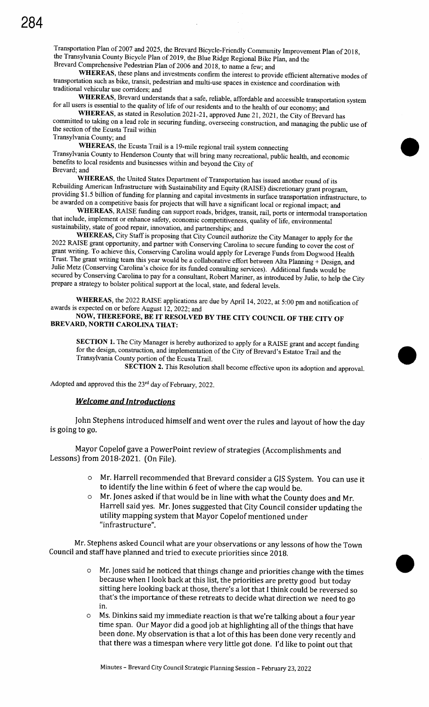Transportation Plan of 2007 and 2025, the Brevard Bicycle -Friendly Community Improvement Plan of 2018, the Transylvania County Bicycle Plan of 2019, the Blue Ridge Regional Bike Plan, and the Brevard Comprehensive Pedestrian Plan of 2006 and 2018, to name <sup>a</sup> few; and

WHEREAS, these plans and investments confirm the interest to provide efficient alternative modes of transportation such as bike, transit, pedestrian and multi -use spaces in existence and coordination with traditional vehicular use corridors; and

WHEREAS, Brevard understands that <sup>a</sup> safe, reliable, affordable and accessible transportation system for all users is essential to the quality of life of our residents and to the health of our economy; and

WHEREAS, as stated in Resolution 2021-21, approved June 21, 2021, the City of Brevard has committed to taking on <sup>a</sup> lead role in securing funding, overseeing construction, and managing the public use of the section of the Ecusta Trail within Transylvania County; and

WHEREAS, the Ecusta Trail is a 19-mile regional trail system connecting Transylvania County to Henderson County that will bring many recreational, public health, and economic benefits to local residents and businesses within and beyond the City of Brevard; and

WHEREAS, the United States Department of Transportation has issued another round of its Rebuilding American Infrastructure with Sustainability and Equity (RAISE) discretionary grant program, providing \$ 1. <sup>5</sup> billion of funding for planning and capital investments in surface transportation infrastructure, to be awarded on a competitive basis for projects that will have a significant local or regional impact; and

WHEREAS, RAISE funding can support roads, bridges, transit, rail, ports or intermodal transportation that include, implement or enhance safety, economic competitiveness, quality of life, environmental sustainability, state of good repair, innovation, and partnerships; and

WHEREAS, City Staff is proposing that City Council authorize the City Manager to apply for the 2022 RAISE grant opportunity, and partner with Conserving Carolina to secure funding to cover the cost of grant writing. To achieve this, Conserving Carolina would apply for Leverage Funds from Dogwood Health Trust. The grant writing team this year would be <sup>a</sup> collaborative effort between Alta Planning + Design, and Julie Metz (Conserving Carolina's choice for its funded consulting services). Additional funds would be secured by Conserving Carolina to pay for a consultant, Robert Mariner, as introduced by Julie, to help the City prepare a strategy to bolster political support at the local, state, and federal levels.

WHEREAS, the 2022 RAISE applications are due by April 14, 2022, at 5:00 pm and notification of awards is expected on or before August 12, 2022; and

# NOW, THEREFORE, BE IT RESOLVED BY THE CITY COUNCIL OF THE CITY OF BREVARD, NORTH CAROLINA THAT:

SECTION 1. The City Manager is hereby authorized to apply for a RAISE grant and accept funding for the design, construction, and implementation of the City of Brevard's Estatoe Trail and the Transylvania County portion of the Ecusta Trail.

SECTION 2. This Resolution shall become effective upon its adoption and approval.

Adopted and approved this the  $23<sup>rd</sup>$  day of February, 2022.

#### Welcome and Introductions

John Stephens introduced himself and went over the rules and layout of how the day is going to go.

Mayor Copelof gave <sup>a</sup> PowerPoint review of strategies (Accomplishments and Lessons) from 2018-2021. (On File).

- o Mr. Harrell recommended that Brevard consider <sup>a</sup> GIS System. You can use it to identify the line within 6 feet of where the cap would be.
- <sup>o</sup> Mr. Jones asked if that would be in line with what the County does and Mr. Harrell said yes. Mr. Jones suggested that City Council consider updating the utility mapping system that Mayor Copelof mentioned under infrastructure".

Mr. Stephens asked Council what are your observations or any lessons of how the Town Council and staff have planned and tried to execute priorities since 2018.

- o Mr. Jones said he noticed that things change and priorities change with the times because when <sup>I</sup> look back at this list, the priorities are pretty good but today sitting here looking back at those, there's a lot that I think could be reversed so that's the importance of these retreats to decide what direction we need to go in.
- <sup>o</sup> Ms. Dinkins said my immediate reaction is that we're talking about <sup>a</sup> four year time span. Our Mayor did a good job at highlighting all of the things that have been done. My observation is that a lot of this has been done very recently and that there was a timespan where very little got done. I'd like to point out that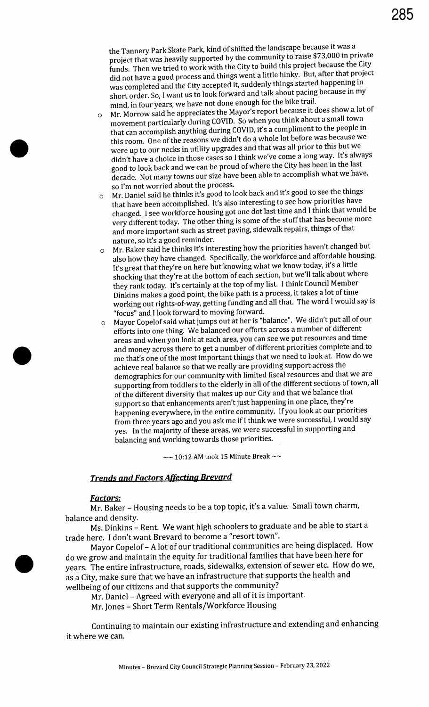the Tannery Park Skate Park, kind of shifted the landscape because it was <sup>a</sup> project that was heavily supported by the community to raise \$73,000 in private funds. Then we tried to work with the City to build this project because the City did not have <sup>a</sup> good process and things went <sup>a</sup> little hinky. But, after that project was completed and the City accepted it, suddenly things started happening in short order. So, I want us to look forward and talk about pacing because in my mind, in four years, we have not done enough for the bike trail.

- <sup>o</sup> Mr. Morrow said he appreciates the Mayor's report because it does show <sup>a</sup> lot of movement particularly during COVID. So when you think about a small town that can accomplish anything during COVID, it's <sup>a</sup> compliment to the people in this room. One of the reasons we didn't do <sup>a</sup> whole lot before was because we were up to our necks in utility upgrades and that was all prior to this but we didn't have <sup>a</sup> choice in those cases so <sup>I</sup> think we' ve come <sup>a</sup> long way. It's always good to look back and we can be proud of where the City has been in the last decade. Not many towns our size have been able to accomplish what we have, so I'm not worried about the process.
- Mr. Daniel said he thinks it's good to look back and it's good to see the things that have been accomplished. It's also interesting to see how priorities have changed. I see workforce housing got one dot last time and <sup>I</sup> think that would be very different today. The other thing is some of the stuff that has become more and more important such as street paving, sidewalk repairs, things of that nature, so it's <sup>a</sup> good reminder.
- <sup>o</sup> Mr. Baker said he thinks it's interesting how the priorities haven't changed but also how they have changed. Specifically, the workforce and affordable housing. It's great that they're on here but knowing what we know today, it's <sup>a</sup> little shocking that they're at the bottom of each section, but we'll talk about where they rank today. It's certainly at the top of my list. I think Council Member Dinkins makes <sup>a</sup> good point, the bike path is <sup>a</sup> process, it takes <sup>a</sup> lot of time working out rights-of-way, getting funding and all that. The word <sup>I</sup> would say is focus" and <sup>I</sup> look forward to moving forward.
- <sup>o</sup> Mayor Copelof said what jumps out at her is " balance". We didn't put all of our efforts into one thing. We balanced our efforts across a number of different areas and when you look at each area, you can see we put resources and time and money across there to get a number of different priorities complete and to me that's one of the most important things that we need to look at. How do we achieve real balance so that we really are providing support across the demographics for our community with limited fiscal resources and that we are supporting from toddlers to the elderly in all of the different sections of town, all of the different diversity that makes up our City and that we balance that support so that enhancements aren't just happening in one place, they're happening everywhere, in the entire community. If you look at our priorities from three years ago and you ask me if <sup>I</sup> think we were successful, I would say yes. In the majority of these areas, we were successful in supporting and balancing and working towards those priorities.

 $\sim$  10:12 AM took 15 Minute Break  $\sim$ 

# **Trends and Factors Affecting Brevard**

#### Factors:

Mr. Baker - Housing needs to be <sup>a</sup> top topic, it's <sup>a</sup> value. Small town charm, balance and density.

Ms. Dinkins - Rent. We want high schoolers to graduate and be able to start a trade here. I don't want Brevard to become a " resort town".

Mayor Copelof - A lot of our traditional communities are being displaced. How do we grow and maintain the equity for traditional families that have been here for years. The entire infrastructure, roads, sidewalks, extension of sewer etc. How do we, as a City, make sure that we have an infrastructure that supports the health and wellbeing of our citizens and that supports the community?

Mr. Daniel - Agreed with everyone and all of it is important.

Mr. Jones - Short Term Rentals/ Workforce Housing

Continuing to maintain our existing infrastructure and extending and enhancing it where we can.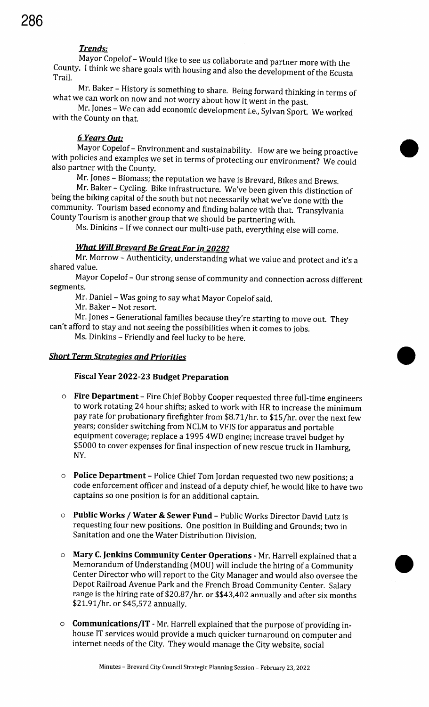# Trends:

Mayor Copelof - Would like to see us collaborate and partner more with the County. I think we share goals with housing and also the development of the Ecusta Trail.

Mr. Baker - History is something to share. Being forward thinking in terms of what we can work on now and not worry about how it went in the past.

Mr. Jones - We can add economic development i.e., Sylvan Sport. We worked with the County on that.

#### 6 Years Out:

Mayor Copelof - Environment and sustainability. How are we being proactive with policies and examples we set in terms of protecting our environment? We could also partner with the County.

Mr. Jones - Biomass; the reputation we have is Brevard, Bikes and Brews.

Mr. Baker - Cycling. Bike infrastructure. We' ve been given this distinction of being the biking capital of the south but not necessarily what we've done with the community. Tourism based economy and finding balance with that. Transylvania County Tourism is another group that we should be partnering with.

Ms. Dinkins - If we connect our multi-use path, everything else will come.

# What Will Brevard Be Great For in 2028?

Mr. Morrow - Authenticity, understanding what we value and protect and it's <sup>a</sup> shared value.

Mayor Copelof - Our strong sense of community and connection across different segments.

Mr. Daniel - Was going to say what Mayor Copelof said.

Mr. Baker - Not resort.

Mr. Jones - Generational families because they're starting to move out. They can't afford to stay and not seeing the possibilities when it comes to jobs.

Ms. Dinkins - Friendly and feel lucky to be here.

#### **Short Term Strategies and Priorities**

# Fiscal Year 2022-23 Budget Preparation

- o Fire Department Fire Chief Bobby Cooper requested three full-time engineers to work rotating 24 hour shifts; asked to work with HR to increase the minimum pay rate for probationary firefighter from \$8.71/hr. to \$15/hr. over the next few years; consider switching from NCLM to VFIS for apparatus and portable equipment coverage; replace a 1995 4WD engine; increase travel budget by 5000 to cover expenses for final inspection of new rescue truck in Hamburg, NY.
- <sup>o</sup> Police Department Police Chief Tom Jordan requested two new positions; a code enforcement officer and instead of a deputy chief, he would like to have two captains so one position is for an additional captain.
- <sup>o</sup> Public Works / Water & Sewer Fund Public Works Director David Lutz is requesting four new positions. One position in Building and Grounds; two in Sanitation and one the Water Distribution Division.
- $\circ$  **Mary C. Jenkins Community Center Operations** Mr. Harrell explained that a Memorandum of Understanding (MOU) will include the hiring of a Community **Public Works / Water & Sewer Fund** – Public Works Director David Lutz is<br>requesting four new positions. One position in Building and Grounds; two in<br>Sanitation and one the Water Distribution Division.<br>**Mary C. Jenkins Com** Center Director who will report to the City Manager and would also oversee the Depot Railroad Avenue Park and the French Broad Community Center. Salary range is the hiring rate of \$20.87/hr. or \$\$43,402 annually and after six months \$21.91/hr. or \$45,572 annually.
- o **Communications/IT** Mr. Harrell explained that the purpose of providing inhouse IT services would provide a much quicker turnaround on computer and internet needs of the City. They would manage the City website, social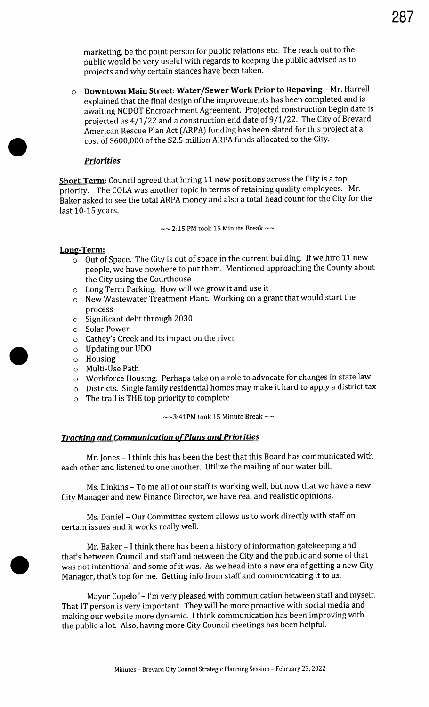marketing, be the point person for public relations etc. The reach out to the public would be very useful with regards to keeping the public advised as to projects and why certain stances have been taken.

<sup>o</sup> Downtown Main Street: Water/ Sewer Work Prior to Repaving - Mr. Harrell explained that the final design of the improvements has been completed and is awaiting NCDOT Encroachment Agreement. Projected construction begin date is projected as 4/1/22 and a construction end date of 9/1/22. The City of Brevard American Rescue Plan Act (ARPA) funding has been slated for this project at a cost of \$600,000 of the \$2. 5 million ARPA funds allocated to the City.

# **Priorities**

Short-Term: Council agreed that hiring 11 new positions across the City is a top priority. The COLA was another topic in terms of retaining quality employees. Mr. Baker asked to see the total ARPA money and also a total head count for the City for the last 10-15 years.

 $\sim$  2:15 PM took 15 Minute Break  $\sim$ 

#### Long-Term:

- o Out of Space. The City is out of space in the current building. If we hire 11 new people, we have nowhere to put them. Mentioned approaching the County about the City using the Courthouse
- o Long Term Parking. How will we grow it and use it
- o New Wastewater Treatment Plant. Working on a grant that would start the process
- o Significant debt through 2030
- o Solar Power
- o Cathey's Creek and its impact on the river
- o Updating our UDO
- o Housing
- o Multi-Use Path
- o Workforce Housing. Perhaps take on a role to advocate for changes in state law
- o Districts. Single family residential homes may make it hard to apply <sup>a</sup> district tax
- o The trail is THE top priority to complete

 $\sim$  3:41PM took 15 Minute Break  $\sim$ 

# **Tracking and Communication of Plans and Priorities**

Mr. Jones - <sup>I</sup> think this has been the best that this Board has communicated with each other and listened to one another. Utilize the mailing of our water bill.

Ms. Dinkins - To me all of our staff is working well, but now that we have a new City Manager and new Finance Director, we have real and realistic opinions.

Ms. Daniel - Our Committee system allows us to work directly with staff on certain issues and it works really well.

Mr. Baker - I think there has been <sup>a</sup> history of information gatekeeping and that's between Council and staff and between the City and the public and some of that was not intentional and some of it was. As we head into <sup>a</sup> new era of getting <sup>a</sup> new City Manager, that's top for me. Getting info from staff and communicating it to us.

Mayor Copelof - I'm very pleased with communication between staff and myself. That IT person is very important. They will be more proactive with social media and making our website more dynamic. I think communication has been improving with the public <sup>a</sup> lot. Also, having more City Council meetings has been helpful.